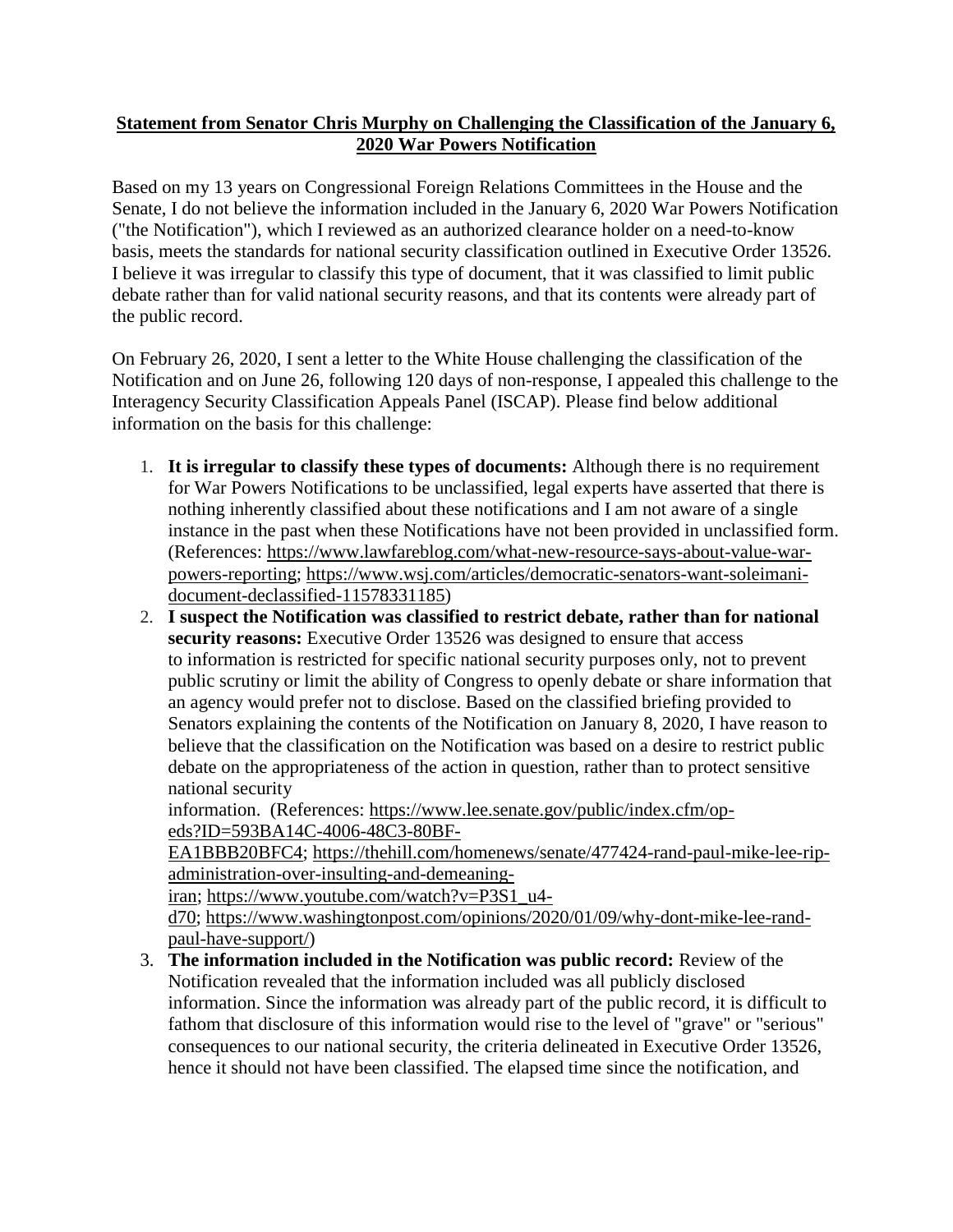## **Statement from Senator Chris Murphy on Challenging the Classification of the January 6, 2020 War Powers Notification**

Based on my 13 years on Congressional Foreign Relations Committees in the House and the Senate, I do not believe the information included in the January 6, 2020 War Powers Notification ("the Notification"), which I reviewed as an authorized clearance holder on a need-to-know basis, meets the standards for national security classification outlined in Executive Order 13526. I believe it was irregular to classify this type of document, that it was classified to limit public debate rather than for valid national security reasons, and that its contents were already part of the public record.

On February 26, 2020, I sent a letter to the White House challenging the classification of the Notification and on June 26, following 120 days of non-response, I appealed this challenge to the Interagency Security Classification Appeals Panel (ISCAP). Please find below additional information on the basis for this challenge:

- 1. **It is irregular to classify these types of documents:** Although there is no requirement for War Powers Notifications to be unclassified, legal experts have asserted that there is nothing inherently classified about these notifications and I am not aware of a single instance in the past when these Notifications have not been provided in unclassified form. (References: [https://www.lawfareblog.com/what-new-resource-says-about-value-war](https://www.lawfareblog.com/what-new-resource-says-about-value-war-powers-reporting)[powers-reporting;](https://www.lawfareblog.com/what-new-resource-says-about-value-war-powers-reporting) [https://www.wsj.com/articles/democratic-senators-want-soleimani](https://www.wsj.com/articles/democratic-senators-want-soleimani-document-declassified-11578331185)[document-declassified-11578331185\)](https://www.wsj.com/articles/democratic-senators-want-soleimani-document-declassified-11578331185)
- 2. **I suspect the Notification was classified to restrict debate, rather than for national security reasons:** Executive Order 13526 was designed to ensure that access to information is restricted for specific national security purposes only, not to prevent public scrutiny or limit the ability of Congress to openly debate or share information that an agency would prefer not to disclose. Based on the classified briefing provided to Senators explaining the contents of the Notification on January 8, 2020, I have reason to believe that the classification on the Notification was based on a desire to restrict public debate on the appropriateness of the action in question, rather than to protect sensitive national security

information. (References: [https://www.lee.senate.gov/public/index.cfm/op](https://www.lee.senate.gov/public/index.cfm/op-eds?ID=593BA14C-4006-48C3-80BF-EA1BBB20BFC4)[eds?ID=593BA14C-4006-48C3-80BF-](https://www.lee.senate.gov/public/index.cfm/op-eds?ID=593BA14C-4006-48C3-80BF-EA1BBB20BFC4)

[EA1BBB20BFC4;](https://www.lee.senate.gov/public/index.cfm/op-eds?ID=593BA14C-4006-48C3-80BF-EA1BBB20BFC4) [https://thehill.com/homenews/senate/477424-rand-paul-mike-lee-rip](https://thehill.com/homenews/senate/477424-rand-paul-mike-lee-rip-administration-over-insulting-and-demeaning-iran)[administration-over-insulting-and-demeaning-](https://thehill.com/homenews/senate/477424-rand-paul-mike-lee-rip-administration-over-insulting-and-demeaning-iran)

[iran;](https://thehill.com/homenews/senate/477424-rand-paul-mike-lee-rip-administration-over-insulting-and-demeaning-iran) [https://www.youtube.com/watch?v=P3S1\\_u4-](https://www.youtube.com/watch?v=P3S1_u4-d70)

[d70;](https://www.youtube.com/watch?v=P3S1_u4-d70) [https://www.washingtonpost.com/opinions/2020/01/09/why-dont-mike-lee-rand](https://www.washingtonpost.com/opinions/2020/01/09/why-dont-mike-lee-rand-paul-have-support/)[paul-have-support/\)](https://www.washingtonpost.com/opinions/2020/01/09/why-dont-mike-lee-rand-paul-have-support/)

3. **The information included in the Notification was public record:** Review of the Notification revealed that the information included was all publicly disclosed information. Since the information was already part of the public record, it is difficult to fathom that disclosure of this information would rise to the level of "grave" or "serious" consequences to our national security, the criteria delineated in Executive Order 13526, hence it should not have been classified. The elapsed time since the notification, and